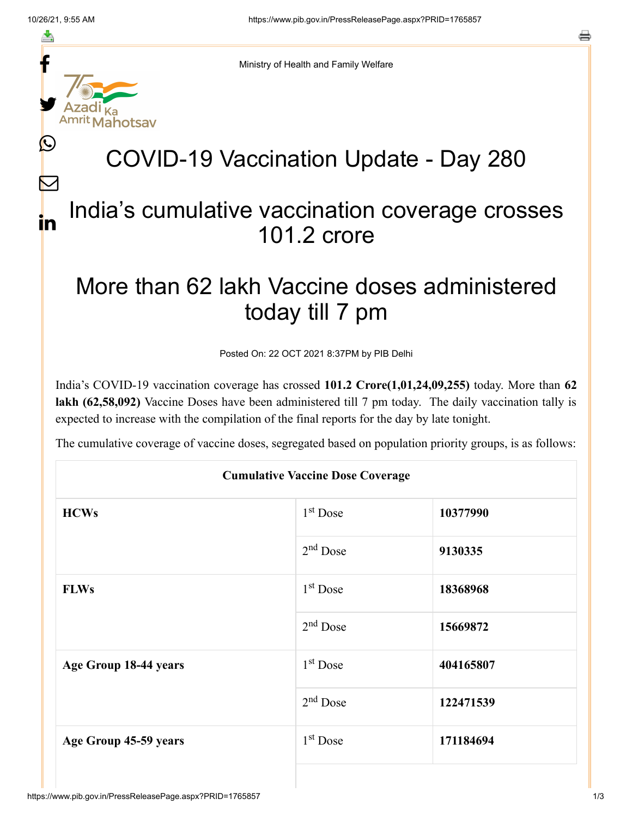f

≛

y.

Ŀ

 $\bm{\nabla}$ 

in



ahotsav

Ministry of Health and Family Welfare

## COVID-19 Vaccination Update - Day 280

## India's cumulative vaccination coverage crosses 101.2 crore

## More than 62 lakh Vaccine doses administered today till 7 pm

Posted On: 22 OCT 2021 8:37PM by PIB Delhi

India's COVID-19 vaccination coverage has crossed **101.2 Crore(1,01,24,09,255)** today. More than **62 lakh (62,58,092)** Vaccine Doses have been administered till 7 pm today. The daily vaccination tally is expected to increase with the compilation of the final reports for the day by late tonight.

The cumulative coverage of vaccine doses, segregated based on population priority groups, is as follows:

| <b>Cumulative Vaccine Dose Coverage</b> |            |           |  |  |
|-----------------------------------------|------------|-----------|--|--|
| <b>HCWs</b>                             | $1st$ Dose | 10377990  |  |  |
|                                         | $2nd$ Dose | 9130335   |  |  |
| <b>FLWs</b>                             | $1st$ Dose | 18368968  |  |  |
|                                         | $2nd$ Dose | 15669872  |  |  |
| Age Group 18-44 years                   | $1st$ Dose | 404165807 |  |  |
|                                         | $2nd$ Dose | 122471539 |  |  |
| Age Group 45-59 years                   | $1st$ Dose | 171184694 |  |  |
|                                         |            |           |  |  |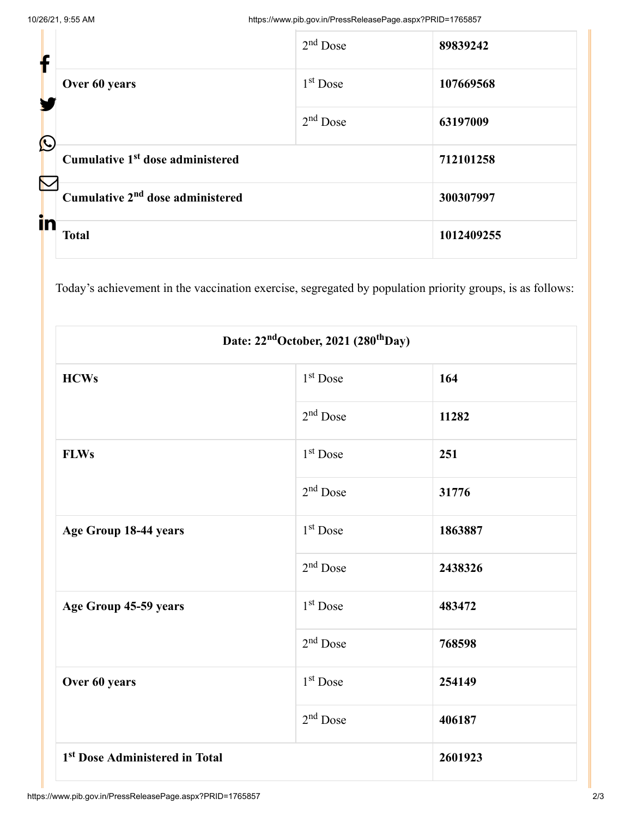| f                     |                                              | $2nd$ Dose           | 89839242   |
|-----------------------|----------------------------------------------|----------------------|------------|
|                       | Over 60 years                                | 1 <sup>st</sup> Dose | 107669568  |
| $\bigcirc$            |                                              | $2nd$ Dose           | 63197009   |
|                       | Cumulative 1 <sup>st</sup> dose administered |                      | 712101258  |
| $\boldsymbol{\nabla}$ | Cumulative 2 <sup>nd</sup> dose administered |                      | 300307997  |
| in                    | <b>Total</b>                                 |                      | 1012409255 |

Today's achievement in the vaccination exercise, segregated by population priority groups, is as follows:

| Date: 22 <sup>nd</sup> October, 2021 (280 <sup>th</sup> Day) |                      |         |  |  |
|--------------------------------------------------------------|----------------------|---------|--|--|
| <b>HCWs</b>                                                  | 1 <sup>st</sup> Dose | 164     |  |  |
|                                                              | $2nd$ Dose           | 11282   |  |  |
| <b>FLWs</b>                                                  | 1 <sup>st</sup> Dose | 251     |  |  |
|                                                              | $2nd$ Dose           | 31776   |  |  |
| Age Group 18-44 years                                        | 1 <sup>st</sup> Dose | 1863887 |  |  |
|                                                              | 2 <sup>nd</sup> Dose | 2438326 |  |  |
| Age Group 45-59 years                                        | 1 <sup>st</sup> Dose | 483472  |  |  |
|                                                              | $2nd$ Dose           | 768598  |  |  |
| Over 60 years                                                | 1 <sup>st</sup> Dose | 254149  |  |  |
|                                                              | $2nd$ Dose           | 406187  |  |  |
| 1 <sup>st</sup> Dose Administered in Total                   |                      | 2601923 |  |  |